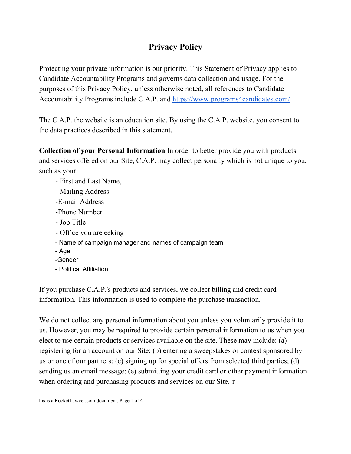## **Privacy Policy**

Protecting your private information is our priority. This Statement of Privacy applies to Candidate Accountability Programs and governs data collection and usage. For the purposes of this Privacy Policy, unless otherwise noted, all references to Candidate Accountability Programs include C.A.P. and <https://www.programs4candidates.com/>

The C.A.P. the website is an education site. By using the C.A.P. website, you consent to the data practices described in this statement.

**Collection of your Personal Information** In order to better provide you with products and services offered on our Site, C.A.P. may collect personally which is not unique to you, such as your:

- First and Last Name,
- Mailing Address
- -E-mail Address
- -Phone Number
- Job Title
- Office you are eeking
- Name of campaign manager and names of campaign team
- Age
- -Gender
- Political Affiliation

If you purchase C.A.P.'s products and services, we collect billing and credit card information. This information is used to complete the purchase transaction.

We do not collect any personal information about you unless you voluntarily provide it to us. However, you may be required to provide certain personal information to us when you elect to use certain products or services available on the site. These may include: (a) registering for an account on our Site; (b) entering a sweepstakes or contest sponsored by us or one of our partners; (c) signing up for special offers from selected third parties; (d) sending us an email message; (e) submitting your credit card or other payment information when ordering and purchasing products and services on our Site. <sup>T</sup>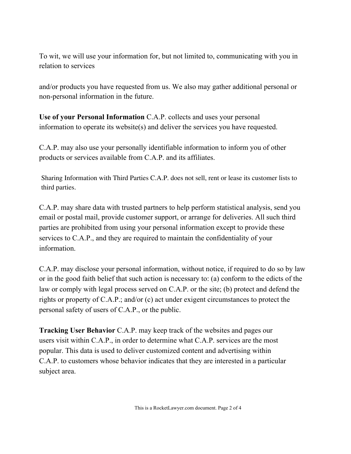To wit, we will use your information for, but not limited to, communicating with you in relation to services

and/or products you have requested from us. We also may gather additional personal or non-personal information in the future.

**Use of your Personal Information** C.A.P. collects and uses your personal information to operate its website(s) and deliver the services you have requested.

C.A.P. may also use your personally identifiable information to inform you of other products or services available from C.A.P. and its affiliates.

Sharing Information with Third Parties C.A.P. does not sell, rent or lease its customer lists to third parties.

C.A.P. may share data with trusted partners to help perform statistical analysis, send you email or postal mail, provide customer support, or arrange for deliveries. All such third parties are prohibited from using your personal information except to provide these services to C.A.P., and they are required to maintain the confidentiality of your information.

C.A.P. may disclose your personal information, without notice, if required to do so by law or in the good faith belief that such action is necessary to: (a) conform to the edicts of the law or comply with legal process served on C.A.P. or the site; (b) protect and defend the rights or property of C.A.P.; and/or (c) act under exigent circumstances to protect the personal safety of users of C.A.P., or the public.

**Tracking User Behavior** C.A.P. may keep track of the websites and pages our users visit within C.A.P., in order to determine what C.A.P. services are the most popular. This data is used to deliver customized content and advertising within C.A.P. to customers whose behavior indicates that they are interested in a particular subject area.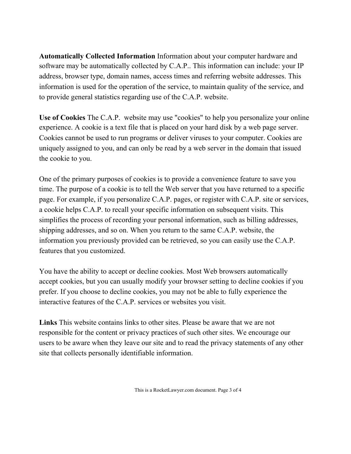**Automatically Collected Information** Information about your computer hardware and software may be automatically collected by C.A.P.. This information can include: your IP address, browser type, domain names, access times and referring website addresses. This information is used for the operation of the service, to maintain quality of the service, and to provide general statistics regarding use of the C.A.P. website.

**Use of Cookies** The C.A.P. website may use "cookies" to help you personalize your online experience. A cookie is a text file that is placed on your hard disk by a web page server. Cookies cannot be used to run programs or deliver viruses to your computer. Cookies are uniquely assigned to you, and can only be read by a web server in the domain that issued the cookie to you.

One of the primary purposes of cookies is to provide a convenience feature to save you time. The purpose of a cookie is to tell the Web server that you have returned to a specific page. For example, if you personalize C.A.P. pages, or register with C.A.P. site or services, a cookie helps C.A.P. to recall your specific information on subsequent visits. This simplifies the process of recording your personal information, such as billing addresses, shipping addresses, and so on. When you return to the same C.A.P. website, the information you previously provided can be retrieved, so you can easily use the C.A.P. features that you customized.

You have the ability to accept or decline cookies. Most Web browsers automatically accept cookies, but you can usually modify your browser setting to decline cookies if you prefer. If you choose to decline cookies, you may not be able to fully experience the interactive features of the C.A.P. services or websites you visit.

**Links** This website contains links to other sites. Please be aware that we are not responsible for the content or privacy practices of such other sites. We encourage our users to be aware when they leave our site and to read the privacy statements of any other site that collects personally identifiable information.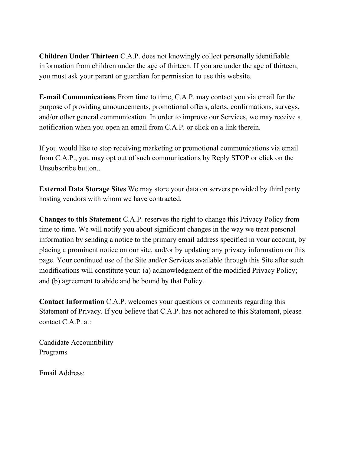**Children Under Thirteen** C.A.P. does not knowingly collect personally identifiable information from children under the age of thirteen. If you are under the age of thirteen, you must ask your parent or guardian for permission to use this website.

**E-mail Communications** From time to time, C.A.P. may contact you via email for the purpose of providing announcements, promotional offers, alerts, confirmations, surveys, and/or other general communication. In order to improve our Services, we may receive a notification when you open an email from C.A.P. or click on a link therein.

If you would like to stop receiving marketing or promotional communications via email from C.A.P., you may opt out of such communications by Reply STOP or click on the Unsubscribe button..

**External Data Storage Sites** We may store your data on servers provided by third party hosting vendors with whom we have contracted.

**Changes to this Statement** C.A.P. reserves the right to change this Privacy Policy from time to time. We will notify you about significant changes in the way we treat personal information by sending a notice to the primary email address specified in your account, by placing a prominent notice on our site, and/or by updating any privacy information on this page. Your continued use of the Site and/or Services available through this Site after such modifications will constitute your: (a) acknowledgment of the modified Privacy Policy; and (b) agreement to abide and be bound by that Policy.

**Contact Information** C.A.P. welcomes your questions or comments regarding this Statement of Privacy. If you believe that C.A.P. has not adhered to this Statement, please contact C.A.P. at:

Candidate Accountibility Programs

Email Address: